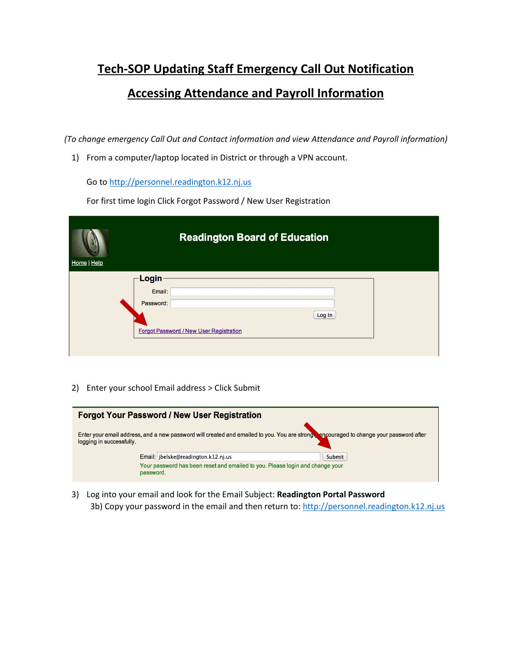## **Tech-SOP Updating Staff Emergency Call Out Notification Accessing Attendance and Payroll Information**

*(To change emergency Call Out and Contact information and view Attendance and Payroll information)*

1) From a computer/laptop located in District or through a VPN account.

Go t[o http://personnel.readington.k12.nj.us](http://personnel.readington.k12.nj.us/)

For first time login Click Forgot Password / New User Registration

| Home   Help | <b>Readington Board of Education</b>    |  |  |  |  |
|-------------|-----------------------------------------|--|--|--|--|
|             | Login                                   |  |  |  |  |
|             | Email:                                  |  |  |  |  |
|             | Password:                               |  |  |  |  |
|             | Log In                                  |  |  |  |  |
|             | Forgot Password / New User Registration |  |  |  |  |
|             |                                         |  |  |  |  |

2) Enter your school Email address > Click Submit



3) Log into your email and look for the Email Subject: **Readington Portal Password** 3b) Copy your password in the email and then return to: [http://personnel.readington.k12.nj.us](http://personnel.readington.k12.nj.us/)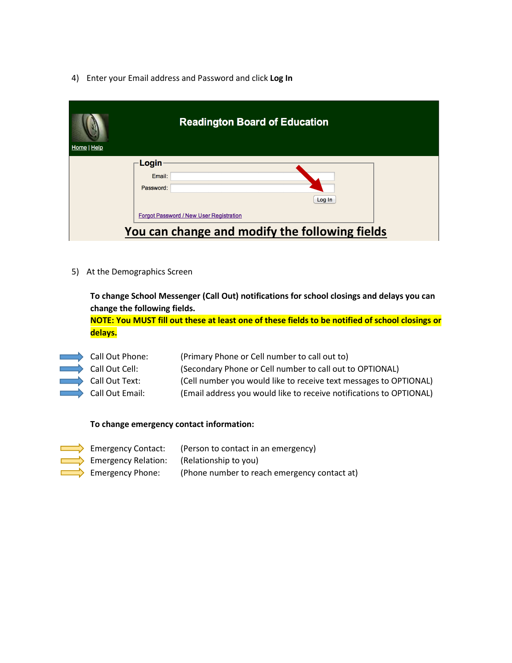4) Enter your Email address and Password and click **Log In**

| Home   Help | <b>Readington Board of Education</b>           |
|-------------|------------------------------------------------|
|             | Login                                          |
|             | Email:                                         |
|             | Password:                                      |
|             | Log In                                         |
|             | Forgot Password / New User Registration        |
|             | You can change and modify the following fields |

5) At the Demographics Screen

**To change School Messenger (Call Out) notifications for school closings and delays you can change the following fields.** 

**NOTE: You MUST fill out these at least one of these fields to be notified of school closings or delays.**

| Call Out Phone: | (Primary Phone or Cell number to call out to)                       |
|-----------------|---------------------------------------------------------------------|
| Call Out Cell:  | (Secondary Phone or Cell number to call out to OPTIONAL)            |
| Call Out Text:  | (Cell number you would like to receive text messages to OPTIONAL)   |
| Call Out Email: | (Email address you would like to receive notifications to OPTIONAL) |

## **To change emergency contact information:**

|                                                           | <b>EXECUTE:</b> (Person to contact in an emergency) |
|-----------------------------------------------------------|-----------------------------------------------------|
| <b>EXECUTE:</b> Emergency Relation: (Relationship to you) |                                                     |
| $\Box$ Emergency Phone:                                   | (Phone number to reach emergency contact at)        |